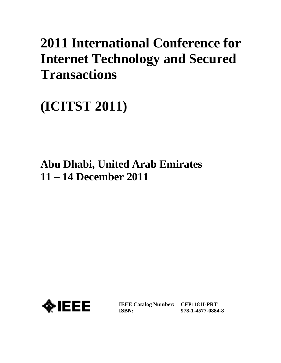# **2011 International Conference for Internet Technology and Secured Transactions**

**(ICITST 2011)**

# **Abu Dhabi, United Arab Emirates 11 – 14 December 2011**



**IEEE Catalog Number: CFP1181I-PRT ISBN:** 

**978-1-4577-0884-8**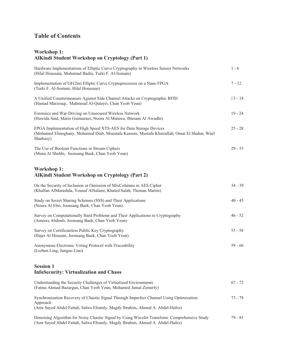# **Table of Contents**

## **Workshop 1: AlKindi Student Workshop on Cryptology (Part 1)**

| Hardware Implementations of Elliptic Curve Cryptography in Wireless Sensor Networks<br>(Hilal Houssain, Mohamad Badra, Turki F. Al-Somani)                                          | $1 - 6$   |
|-------------------------------------------------------------------------------------------------------------------------------------------------------------------------------------|-----------|
| Implementation of GF(2m) Elliptic Curve Cryptoprocessor on a Nano FPGA<br>(Turki F. Al-Somani, Hilal Houssain)                                                                      | $7 - 12$  |
| A Unified Countermeasure Against Side Channel Attacks on Cryptographic RFID<br>(Hamad Marzouqi, Mahmoud Al-Qutayri, Chan Yeob Yeun)                                                 | $33 - 18$ |
| Forensics and War-Driving on Unsecured Wireless Network<br>(Huwida Said, Mario Guimaraes, Noora Al Mutawa, Ibtesam Al Awadhi)                                                       | $19 - 24$ |
| FPGA Implementation of High Speed XTS-AES for Data Storage Devices<br>(Mohamed Elmoghany, Mohamed Diab, Moustafa Kassem, Mustafa Khairallah, Omar El Shahat, Wael<br>Sharkasy)      | $25 - 28$ |
| The Use of Boolean Functions in Stream Ciphers<br>(Muna Al Shehhi, Joonsang Baek, Chan Yeob Yeun)                                                                                   | $29 - 33$ |
| <b>Workshop 1:</b><br><b>AlKindi Student Workshop on Cryptology (Part 2)</b>                                                                                                        |           |
| On the Security of Inclusion or Omission of MixColumns in AES Cipher<br>(Khalfan AlMarashda, Yousuf AlSalami, Khaled Salah, Thomas Martin)                                          | $34 - 39$ |
| Study on Secret Sharing Schemes (SSS) and Their Applications<br>(Noura Al Ebri, Joonsang Baek, Chan Yeob Yeun)                                                                      | $40 - 45$ |
| Survey on Computationally Hard Problems and Their Applications to Cryptography<br>(Ameera Abdouli, Joonsang Baek, Chan Yeob Yeun)                                                   | $46 - 52$ |
| Survey on Certificateless Public Key Cryptography<br>(Hajer Al Housani, Joonsang Baek, Chan Yeob Yeun)                                                                              | $53 - 58$ |
| Anonymous Electronic Voting Protocol with Traceability<br>(Lezhen Ling, Junguo Liao)                                                                                                | $59 - 66$ |
| <b>Session 1</b><br><b>InfoSecurity: Virtualization and Chaos</b>                                                                                                                   |           |
| Understanding the Security Challenges of Virtualized Environments<br>(Fatma Ahmad Bazargan, Chan Yeob Yeun, Mohamed Jamal Zemerly)                                                  | $67 - 72$ |
| Synchronization Recovery of Chaotic Signal Through Imperfect Channel Using Optimization<br>Approach<br>(Amr Sayed Abdel Fattah, Salwa Elramly, Magdy Ibrahim, Ahmed A. Abdel-Hafez) | $73 - 78$ |
| Denoising Algorithm for Noisy Chaotic Signal by Using Wavelet Transform: Comprehensive Study<br>(Amr Sayed Abdel Fattah, Salwa Elramly, Magdy Ibrahim, Ahmed A. Abdel-Hafez)        | $79 - 85$ |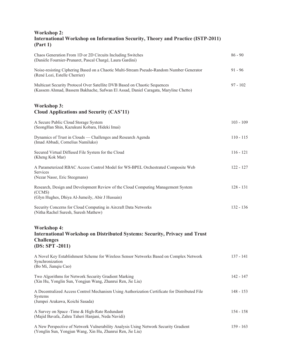#### **Workshop 2: International Workshop on Information Security, Theory and Practice (ISTP-2011) (Part 1)**

| Chaos Generation From 1D or 2D Circuits Including Switches<br>(Danièle Fournier-Prunaret, Pascal Chargé, Laura Gardini)                                         | $86 - 90$   |
|-----------------------------------------------------------------------------------------------------------------------------------------------------------------|-------------|
| Noise-resisting Ciphering Based on a Chaotic Multi-Stream Pseudo-Random Number Generator<br>(René Lozi, Estelle Cherrier)                                       | $91 - 96$   |
| Multicast Security Protocol Over Satellite DVB Based on Chaotic Sequences<br>(Kassem Ahmad, Bassem Bakhache, Safwan El Assad, Daniel Caragata, Maryline Chetto) | $97 - 102$  |
| <b>Workshop 3:</b><br><b>Cloud Applications and Security (CAS'11)</b>                                                                                           |             |
| A Secure Public Cloud Storage System<br>(SeongHan Shin, Kazukuni Kobara, Hideki Imai)                                                                           | $103 - 109$ |
| Dynamics of Trust in Clouds — Challenges and Research Agenda<br>(Imad Abbadi, Cornelius Namiluko)                                                               | $110 - 115$ |
| Secured Virtual Diffused File System for the Cloud<br>(Kheng Kok Mar)                                                                                           | $116 - 121$ |
| A Parameterized RBAC Access Control Model for WS-BPEL Orchestrated Composite Web<br>Services<br>(Nezar Nassr, Eric Steegmans)                                   | $122 - 127$ |
| Research, Design and Development Review of the Cloud Computing Management System<br>(CCMS)<br>(Glyn Hughes, Dhiya Al-Jumeily, Abir J Hussain)                   | $128 - 131$ |
| Security Concerns for Cloud Computing in Aircraft Data Networks<br>(Nitha Rachel Suresh, Suresh Mathew)                                                         | $132 - 136$ |
| <b>Workshop 4:</b><br>International Workshop on Distributed Systems: Security, Privacy and Trust<br><b>Challenges</b><br>$(DS: SPT - 2011)$                     |             |
| A Novel Key Establishment Scheme for Wireless Sensor Networks Based on Complex Network<br>Synchronization<br>(Bo Mi, Jianqiu Cao)                               | $137 - 141$ |
| Two Algorithms for Network Security Gradient Marking<br>(Xin Hu, Yonglin Sun, Yongjun Wang, Zhanrui Ren, Jie Liu)                                               | 142 - 147   |
| A Decentralized Access Control Mechanism Using Authorization Certificate for Distributed File<br>Systems<br>(Jumpei Arakawa, Koichi Sasada)                     | $148 - 153$ |
| A Survey on Space - Time & High-Rate Redundant<br>(Majid Bavafa, Zahra Taheri Hanjani, Neda Navidi)                                                             | $154 - 158$ |
| A New Perspective of Network Vulnerability Analysis Using Network Security Gradient<br>(Yonglin Sun, Yongjun Wang, Xin Hu, Zhanrui Ren, Jie Liu)                | $159 - 163$ |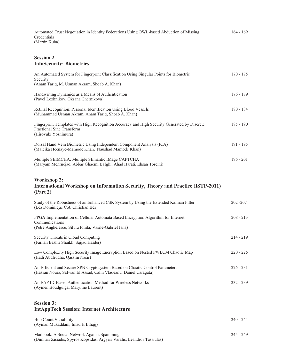| Automated Trust Negotiation in Identity Federations Using OWL-based Abduction of Missing | $164 - 169$ |
|------------------------------------------------------------------------------------------|-------------|
| Credentials                                                                              |             |
| (Martin Kuba)                                                                            |             |

#### **Session 2 InfoSecurity: Biometrics**

| An Automated System for Fingerprint Classification Using Singular Points for Biometric<br>Security<br>(Anam Tariq, M. Usman Akram, Shoab A. Khan)            | $170 - 175$ |
|--------------------------------------------------------------------------------------------------------------------------------------------------------------|-------------|
| Handwriting Dynamics as a Means of Authentication<br>(Pavel Lozhnikov, Oksana Chernikova)                                                                    | $176 - 179$ |
| Retinal Recognition: Personal Identification Using Blood Vessels<br>(Muhammad Usman Akram, Anam Tariq, Shoab A. Khan)                                        | $180 - 184$ |
| Fingerprint Templates with High Recognition Accuracy and High Security Generated by Discrete<br><b>Fractional Sine Transform</b><br>(Hiroyuki Yoshimura)     | $185 - 190$ |
| Dorsal Hand Vein Biometric Using Independent Component Analysis (ICA)<br>(Maleika Heenaye-Mamode Khan, Naushad Mamode Khan)                                  | $191 - 195$ |
| Multiple SEIMCHA: Multiple SEmantic IMage CAPTCHA<br>(Maryam Mehrnejad, Abbas Ghaemi Bafghi, Ahad Harati, Ehsan Toreini)                                     | $196 - 201$ |
| <b>Workshop 2:</b><br><b>International Workshop on Information Security, Theory and Practice (ISTP-2011)</b><br>(Part 2)                                     |             |
| Study of the Robustness of an Enhanced CSK System by Using the Extended Kalman Filter<br>(Léa Dominique Cot, Christian Bès)                                  | $202 - 207$ |
| FPGA Implementation of Cellular Automata Based Encryption Algorithm for Internet<br>Communications<br>(Petre Anghelescu, Silviu Ionita, Vasile-Gabriel Iana) | $208 - 213$ |
| Security Threats in Cloud Computing<br>(Farhan Bashir Shaikh, Sajjad Haider)                                                                                 | $214 - 219$ |
| Low Complexity High Security Image Encryption Based on Nested PWLCM Chaotic Map<br>(Hadi Abdlrudha, Qassim Nasir)                                            | $220 - 225$ |
| An Efficient and Secure SPN Cryptosystem Based on Chaotic Control Parameters<br>(Hassan Noura, Safwan El Assad, Calin Vladeanu, Daniel Caragata)             | $226 - 231$ |
| An EAP ID-Based Authentication Method for Wireless Networks<br>(Aymen Boudguiga, Maryline Laurent)                                                           | 232 - 239   |
| <b>Session 3:</b><br><b>IntAppTech Session: Internet Architecture</b>                                                                                        |             |
| Hop Count Variability<br>(Ayman Mukaddam, Imad H Elhajj)                                                                                                     | 240 - 244   |

Mailbook: A Social Network Against Spamming 245 - 249 (Dimitris Zisiadis, Spyros Kopsidas, Argyris Varalis, Leandros Tassiulas)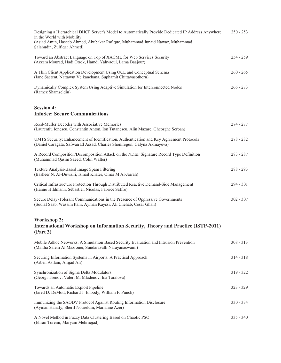| Designing a Hierarchical DHCP Server's Model to Automatically Provide Dedicated IP Address Anywhere<br>in the World with Mobility<br>(Asjad Amin, Haseeb Ahmed, Abubakar Rafique, Muhammad Junaid Nawaz, Muhammad<br>Salahudin, Zulfiqar Ahmed) | $250 - 253$ |
|-------------------------------------------------------------------------------------------------------------------------------------------------------------------------------------------------------------------------------------------------|-------------|
| Toward an Abstract Language on Top of XACML for Web Services Security<br>(Azzam Mourad, Hadi Otrok, Hamdi Yahyaoui, Lama Baajour)                                                                                                               | $254 - 259$ |
| A Thin Client Application Development Using OCL and Conceptual Schema<br>(Jane Saetent, Nattawut Vejkanchana, Suphamit Chittayasothorn)                                                                                                         | $260 - 265$ |
| Dynamically Complex System Using Adaptive Simulation for Interconnected Nodes<br>(Ramez Shamseldin)                                                                                                                                             | $266 - 273$ |
| <b>Session 4:</b><br><b>InfoSec: Secure Communications</b>                                                                                                                                                                                      |             |
| Reed-Muller Decoder with Associative Memories<br>(Laurentiu Ionescu, Constantin Anton, Ion Tutanescu, Alin Mazare, Gheorghe Serban)                                                                                                             | $274 - 277$ |
| UMTS Security: Enhancement of Identification, Authentication and Key Agreement Protocols<br>(Daniel Caragata, Safwan El Assad, Charles Shoniregun, Galyna Akmayeva)                                                                             | $278 - 282$ |
| A Record Composition/Decomposition Attack on the NDEF Signature Record Type Definition<br>(Muhammad Qasim Saeed, Colin Walter)                                                                                                                  | $283 - 287$ |
| Texture Analysis-Based Image Spam Filtering<br>(Basheer N. Al-Duwairi, Ismail Khater, Omar M Al-Jarrah)                                                                                                                                         | $288 - 293$ |
| Critical Infrastructure Protection Through Distributed Reactive Demand-Side Management<br>(Hanno Hildmann, Sébastien Nicolas, Fabrice Saffre)                                                                                                   | $294 - 301$ |
| Secure Delay-Tolerant Communications in the Presence of Oppressive Governments<br>(Soulaf Saab, Wassim Itani, Ayman Kayssi, Ali Chehab, Cesar Ghali)                                                                                            | $302 - 307$ |
| <b>Workshop 2:</b><br><b>International Workshop on Information Security, Theory and Practice (ISTP-2011)</b><br>(Part 3)                                                                                                                        |             |
| Mobile Adhoc Networks: A Simulation Based Security Evaluation and Intrusion Prevention<br>(Maitha Salem Al Mazrouei, Sundaravalli Narayanaswami)                                                                                                | $308 - 313$ |
| Securing Information Systems in Airports: A Practical Approach<br>(Arben Asllani, Amjad Ali)                                                                                                                                                    | $314 - 318$ |
| Synchronization of Sigma Delta Modulators<br>(Georgi Tsenov, Valeri M. Mladenov, Ina Taralova)                                                                                                                                                  | $319 - 322$ |
| Towards an Automatic Exploit Pipeline<br>(Jared D. DeMott, Richard J. Enbody, William F. Punch)                                                                                                                                                 | $323 - 329$ |
| Immunizing the SAODV Protocol Against Routing Information Disclosure<br>(Ayman Hanafy, Sherif Noureldin, Marianne Azer)                                                                                                                         | $330 - 334$ |
| A Novel Method in Fuzzy Data Clustering Based on Chaotic PSO<br>(Ehsan Toreini, Maryam Mehrnejad)                                                                                                                                               | $335 - 340$ |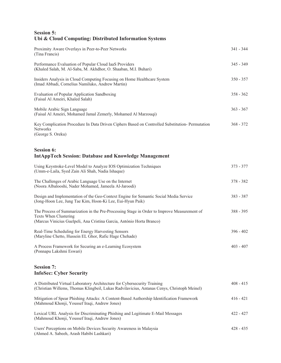# **Session 5: Ubi & Cloud Computing: Distributed Information Systems**

| Proximity Aware Overlays in Peer-to-Peer Networks<br>(Tina Francis)                                                                                                                           | $341 - 344$ |
|-----------------------------------------------------------------------------------------------------------------------------------------------------------------------------------------------|-------------|
| Performance Evaluation of Popular Cloud IaaS Providers<br>(Khaled Salah, M. Al-Saba, M. Akhdhor, O. Shaaban, M.I. Buhari)                                                                     | $345 - 349$ |
| Insiders Analysis in Cloud Computing Focusing on Home Healthcare System<br>(Imad Abbadi, Cornelius Namiluko, Andrew Martin)                                                                   | $350 - 357$ |
| <b>Evaluation of Popular Application Sandboxing</b><br>(Faisal Al Ameiri, Khaled Salah)                                                                                                       | $358 - 362$ |
| Mobile Arabic Sign Language<br>(Faisal Al Ameiri, Mohamed Jamal Zemerly, Mohamed Al Marzouqi)                                                                                                 | $363 - 367$ |
| Key Complication Procedure In Data Driven Ciphers Based on Controlled Substitution- Permutation<br>Networks<br>(George S. Oreku)                                                              | $368 - 372$ |
| <b>Session 6:</b><br><b>IntAppTech Session: Database and Knowledge Management</b>                                                                                                             |             |
| Using Keystroke-Level Model to Analyze IOS Optimization Techniques<br>(Umm-e-Laila, Syed Zain Ali Shah, Nadia Ishaque)                                                                        | $373 - 377$ |
| The Challenges of Arabic Language Use on the Internet<br>(Noora Albalooshi, Nader Mohamed, Jameela Al-Jaroodi)                                                                                | 378 - 382   |
| Design and Implementation of the Geo-Context Engine for Semantic Social Media Service<br>(Jong-Hoon Lee, Jung Tae Kim, Hoon-Ki Lee, Eui-Hyun Paik)                                            | $383 - 387$ |
| The Process of Summarization in the Pre-Processing Stage in Order to Improve Measurement of<br>Texts When Clustering<br>(Marcus Vinicius Guelpeli, Ana Cristina Garcia, António Horta Branco) | 388 - 395   |
| Real-Time Scheduling for Energy Harvesting Sensors<br>(Maryline Chetto, Hussein EL Ghor, Rafic Hage Chehade)                                                                                  | $396 - 402$ |
| A Process Framework for Securing an e-Learning Ecosystem<br>(Ponnapu Lakshmi Eswari)                                                                                                          | $403 - 407$ |

## **Session 7: InfoSec: Cyber Security**

| A Distributed Virtual Laboratory Architecture for Cybersecurity Training<br>(Christian Willems, Thomas Klingbeil, Lukas Radvilavicius, Antanas Cenys, Christoph Meinel) | $408 - 415$ |
|-------------------------------------------------------------------------------------------------------------------------------------------------------------------------|-------------|
| Mitigation of Spear Phishing Attacks: A Content-Based Authorship Identification Framework<br>(Mahmoud Khonji, Youssef Iraqi, Andrew Jones)                              | $416 - 421$ |
| Lexical URL Analysis for Discriminating Phishing and Legitimate E-Mail Messages<br>(Mahmoud Khonji, Youssef Iraqi, Andrew Jones)                                        | $422 - 427$ |
| Users' Perceptions on Mobile Devices Security Awareness in Malaysia<br>(Ahmed A. Sabeeh, Arash Habibi Lashkari)                                                         | $428 - 435$ |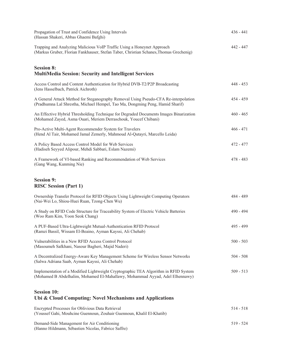| Propagation of Trust and Confidence Using Intervals<br>(Hassan Shakeri, Abbas Ghaemi Bafghi)                                                                         | $436 - 441$ |
|----------------------------------------------------------------------------------------------------------------------------------------------------------------------|-------------|
| Trapping and Analyzing Malicious VoIP Traffic Using a Honeynet Approach<br>(Markus Gruber, Florian Fankhauser, Stefan Taber, Christian Schanes, Thomas Grechenig)    | $442 - 447$ |
| <b>Session 8:</b><br><b>MultiMedia Session: Security and Intelligent Services</b>                                                                                    |             |
| Access Control and Content Authentication for Hybrid DVB-T2/P2P Broadcasting<br>(Jens Hasselbach, Patrick Aichroth)                                                  | $448 - 453$ |
| A General Attack Method for Steganography Removal Using Pseudo-CFA Re-interpolation<br>(Pradhumna Lal Shrestha, Michael Hempel, Tao Ma, Dongming Peng, Hamid Sharif) | $454 - 459$ |
| An Effective Hybrid Thresholding Technique for Degraded Documents Images Binarization<br>(Mohamed Zayed, Asma Ouari, Meriem Derraschouk, Youcef Chibani)             | $460 - 465$ |
| Pro-Active Multi-Agent Recommender System for Travelers<br>(Hend Al Tair, Mohamed Jamal Zemerly, Mahmoud Al-Qutayri, Marcello Leida)                                 | $466 - 471$ |
| A Policy Based Access Control Model for Web Services<br>(Hadiseh Seyyed Alipour, Mehdi Sabbari, Eslam Nazemi)                                                        | 472 - 477   |
| A Framework of VI-based Ranking and Recommendation of Web Services<br>(Gang Wang, Kunming Nie)                                                                       | $478 - 483$ |
| <b>Session 9:</b><br><b>RISC Session (Part 1)</b>                                                                                                                    |             |
| Ownership Transfer Protocol for RFID Objects Using Lightweight Computing Operators<br>(Nai-Wei Lo, Shiou-Huei Ruan, Tzong-Chen Wu)                                   | 484 - 489   |
| A Study on RFID Code Structure for Traceability System of Electric Vehicle Batteries<br>(Woo Ram Kim, Yoon Seok Chang)                                               | 490 - 494   |
| A PUF-Based Ultra-Lightweight Mutual-Authentication RFID Protocol<br>(Ramzi Bassil, Wissam El-Beaino, Ayman Kayssi, Ali Chehab)                                      | $495 - 499$ |
| Vulnerabilities in a New RFID Access Control Protocol<br>(Masoumeh Safkhani, Nasour Bagheri, Majid Naderi)                                                           | $500 - 503$ |
| A Decentralized Energy-Aware Key Management Scheme for Wireless Sensor Networks<br>(Salwa Adriana Saab, Ayman Kayssi, Ali Chehab)                                    | $504 - 508$ |
| Implementation of a Modified Lightweight Cryptographic TEA Algorithm in RFID System<br>(Mohamed B Abdelhalim, Mohamed El-Mahallawy, Mohammad Ayyad, Adel Elhennawy)  | $509 - 513$ |
| <b>Session 10:</b><br>Ubi & Cloud Computing: Novel Mechanisms and Applications                                                                                       |             |
| Encrypted Processes for Oblivious Data Retrieval<br>(Youssef Gahi, Mouhcine Guennoun, Zouhair Guennoun, Khalil El-Khatib)                                            | $514 - 518$ |
| Demand-Side Management for Air Conditioning                                                                                                                          | $519 - 524$ |

(Hanno Hildmann, Sébastien Nicolas, Fabrice Saffre)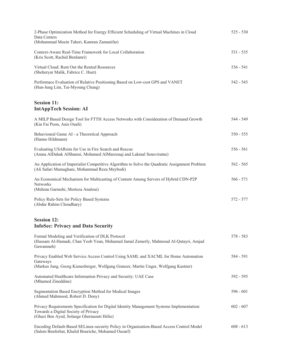| 2-Phase Optimization Method for Energy Efficient Scheduling of Virtual Machines in Cloud<br>Data Centers<br>(Mohammad Moein Taheri, Kamran Zamanifar)                                  | $525 - 530$ |
|----------------------------------------------------------------------------------------------------------------------------------------------------------------------------------------|-------------|
| Context-Aware Real-Time Framework for Local Collaboration<br>(Kris Scott, Rachid Benlamri)                                                                                             | $531 - 535$ |
| Virtual Cloud: Rent Out the Rented Resources<br>(Sheheryar Malik, Fabrice C. Huet)                                                                                                     | $536 - 541$ |
| Performace Evaluation of Relative Positioning Based on Low-cost GPS and VANET<br>(Hun-Jung Lim, Tai-Myoung Chung)                                                                      | $542 - 543$ |
| <b>Session 11:</b><br><b>IntAppTech Session: AI</b>                                                                                                                                    |             |
| A MILP Based Design Tool for FTTH Access Networks with Consideration of Demand Growth<br>(Kin Fai Poon, Anis Ouali)                                                                    | 544 - 549   |
| Behavioural Game AI - a Theoretical Approach<br>(Hanno Hildmann)                                                                                                                       | $550 - 555$ |
| Evaluating USARsim for Use in Fire Search and Rescue<br>(Amna AlDahak AlShamsi, Mohamed AlMarzouqi and Lakmal Seneviratne)                                                             | $556 - 561$ |
| An Application of Imperialist Competitive Algorithm to Solve the Quadratic Assignment Problem<br>(Ali Safari Mamaghani, Mohammad Reza Meybodi)                                         | $562 - 565$ |
| An Economical Mechanism for Multicasting of Content Among Servers of Hybrid CDN-P2P<br><b>Networks</b><br>(Mehran Garmehi, Morteza Analoui)                                            | $566 - 571$ |
| Policy Rule-Sets for Policy Based Systems<br>(Abdur Rahim Choudhary)                                                                                                                   | 572 - 577   |
| <b>Session 12:</b><br><b>InfoSec: Privacy and Data Security</b>                                                                                                                        |             |
| Formal Modeling and Verification of DLK Protocol<br>(Hussam Al-Hamadi, Chan Yeob Yeun, Mohamed Jamal Zemerly, Mahmoud Al-Qutayri, Amjad<br>Gawanmeh)                                   | $578 - 583$ |
| Privacy Enabled Web Service Access Control Using SAML and XACML for Home Automation<br>Gateways<br>(Markus Jung, Georg Kienesberger, Wolfgang Granzer, Martin Unger, Wolfgang Kastner) | 584 - 591   |
| Automated Healthcare Information Privacy and Security: UAE Case<br>(Mhamed Zineddine)                                                                                                  | 592 - 595   |
| Segmentation Based Encryption Method for Medical Images<br>(Ahmed Mahmood, Robert D. Dony)                                                                                             | $596 - 601$ |
| Privacy Requirements Specification for Digital Identity Management Systems Implementation:<br>Towards a Digital Society of Privacy<br>(Ghazi Ben Ayed, Solange Ghernaouti Hélie)       | $602 - 607$ |
| Encoding Default-Based SELinux-security Policy in Organization-Based Access Control Model<br>(Salem Benferhat, Khalid Bouriche, Mohamed Ouzarf)                                        | $608 - 613$ |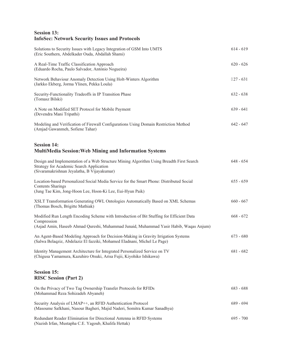# **Session 13: InfoSec: Network Security Issues and Protocols**

| Solutions to Security Issues with Legacy Integration of GSM Into UMTS<br>(Eric Southern, Abdelkader Ouda, Abdallah Shami)                                                                         | $614 - 619$ |
|---------------------------------------------------------------------------------------------------------------------------------------------------------------------------------------------------|-------------|
| A Real-Time Traffic Classification Approach<br>(Eduardo Rocha, Paulo Salvador, António Nogueira)                                                                                                  | $620 - 626$ |
| Network Behaviour Anomaly Detection Using Holt-Winters Algorithm<br>(Jarkko Ekberg, Jorma Ylinen, Pekka Loula)                                                                                    | $827 - 631$ |
| Security-Functionality Tradeoffs in IP Transition Phase<br>(Tomasz Bilski)                                                                                                                        | $632 - 638$ |
| A Note on Modified SET Protocol for Mobile Payment<br>(Devendra Mani Tripathi)                                                                                                                    | $639 - 641$ |
| Modeling and Verification of Firewall Configurations Using Domain Restriction Method<br>(Amjad Gawanmeh, Sofiene Tahar)                                                                           | $642 - 647$ |
| <b>Session 14:</b><br><b>MultiMedia Session: Web Mining and Information Systems</b>                                                                                                               |             |
| Design and Implementation of a Web Structure Mining Algorithm Using Breadth First Search<br>Strategy for Academic Search Application<br>(Sivaramakrishnan Jeyalatha, B Vijayakumar)               | $648 - 654$ |
| Location-based Personalized Social Media Service for the Smart Phone: Distributed Social<br><b>Contents Sharings</b><br>(Jung Tae Kim, Jong-Hoon Lee, Hoon-Ki Lee, Eui-Hyun Paik)                 | $655 - 659$ |
| XSLT Transformation Generating OWL Ontologies Automatically Based on XML Schemas<br>(Thomas Bosch, Brigitte Mathiak)                                                                              | $660 - 667$ |
| Modified Run Length Encoding Scheme with Introduction of Bit Stuffing for Efficient Data<br>Compression<br>(Asjad Amin, Haseeb Ahmad Qureshi, Muhammad Junaid, Muhammad Yasir Habib, Waqas Anjum) | $668 - 672$ |
| An Agent-Based Modeling Approach for Decision-Making in Gravity Irrigation Systems<br>(Salwa Belaqziz, Abdelaziz El fazziki, Mohamed Eladnani, Michel Le Page)                                    | $673 - 680$ |
| Identity Management Architecture for Integrated Personalized Service on TV<br>(Chigusa Yamamura, Kazuhiro Otsuki, Arisa Fujii, Kiyohiko Ishikawa)                                                 | $681 - 682$ |
| <b>Session 15:</b><br><b>RISC Session (Part 2)</b>                                                                                                                                                |             |
| On the Privacy of Two Tag Ownership Transfer Protocols for RFIDs<br>(Mohammad Reza Sohizadeh Abyaneh)                                                                                             | $683 - 688$ |
| Security Analysis of LMAP++, an RFID Authentication Protocol<br>(Masoume Safkhani, Nasour Bagheri, Majid Naderi, Somitra Kumar Sanadhya)                                                          | $689 - 694$ |
| Redundant Reader Elimination for Directional Antenna in RFID Systems<br>(Nazish Irfan, Mustapha C.E. Yagoub, Khalifa Hettak)                                                                      | $695 - 700$ |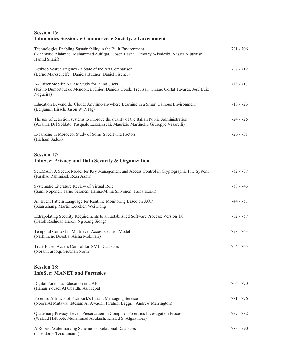#### **Session 16: Infonomics Session: e-Commerce, e-Society, e-Government**

| Technologies Enabling Sustainability in the Built Environment<br>(Mahmoud Alahmad, Muhammad Zulfiqar, Hosen Hasna, Timothy Wisnieski, Nasser Aljuhaishi,<br>Hamid Sharif)        | $701 - 706$                                                                |
|----------------------------------------------------------------------------------------------------------------------------------------------------------------------------------|----------------------------------------------------------------------------|
| Desktop Search Engines - a State of the Art Comparison<br>(Bernd Markscheffel, Daniela Büttner, Daniel Fischer)                                                                  | $707 - 712$                                                                |
| A-CitizenMobile: A Case Study for Blind Users<br>(Flávio Dumortout de Mendonça Júnior, Daniela Gorski Trevisan, Thiago Cortat Tavares, José Luiz<br>Nogueira)                    | $713 - 717$                                                                |
| Education Beyond the Cloud: Anytime-anywhere Learning in a Smart Campus Environment<br>(Benjamin Hirsch, Jason W.P. Ng)                                                          | $718 - 723$                                                                |
| The use of detection systems to improve the quality of the Italian Public Administration<br>(Arianna Del Soldato, Pasquale Lazzareschi, Maurizio Martinelli, Giuseppe Vasarelli) | $724 - 725$                                                                |
| E-banking in Morocco: Study of Some Specifying Factors<br>(Hicham Sadok)                                                                                                         | $726 - 731$                                                                |
| <b>Session 17:</b><br>InfoSec: Privacy and Data Security & Organization                                                                                                          |                                                                            |
| SeKMAC: A Secure Model for Key Management and Access Control in Cryptographic File System<br>(Farshad Rahimiasl, Reza Azmi)                                                      | $732 - 737$                                                                |
|                                                                                                                                                                                  | $\overline{a}$ $\overline{a}$ $\overline{a}$ $\overline{a}$ $\overline{a}$ |

| Systematic Literature Review of Virtual Role<br>(Sami Noponen, Jarno Salonen, Hanna-Miina Sihvonen, Taina Kurki)                       | $738 - 743$ |
|----------------------------------------------------------------------------------------------------------------------------------------|-------------|
| An Event Pattern Language for Runtime Monitoring Based on AOP<br>(Xian Zhang, Martin Leucker, Wei Dong)                                | 744 - 751   |
| Extrapolating Security Requirements to an Established Software Process: Version 1.0<br>(Galoh Rashidah Haron, Ng Kang Siong)           | 752 - 757   |
| Temporal Context in Multilevel Access Control Model<br>(Narhimene Boustia, Aicha Mokhtari)                                             | $758 - 763$ |
| Trust-Based Access Control for XML Databases<br>(Norah Farooqi, Siobhán North)                                                         | 764 - 765   |
| <b>Session 18:</b><br><b>InfoSec: MANET and Forensics</b>                                                                              |             |
| Digital Forensics Education in UAE<br>(Hanan Yousef Al Obaidli, Asif Iqbal)                                                            | $766 - 770$ |
| Forensic Artifacts of Facebook's Instant Messaging Service<br>(Noora Al Mutawa, Ibtesam Al Awadhi, Ibrahim Baggili, Andrew Marrington) | 771 - 776   |
| Quaternary Privacy-Levels Preservation in Computer Forensics Investigation Process                                                     | 777 - 782   |

(Waleed Halboob, Muhammad Abulaish, Khaled S. Alghathbar)

A Robust Watermarking Scheme for Relational Databases 783 - 790 (Theodoros Tzouramanis)